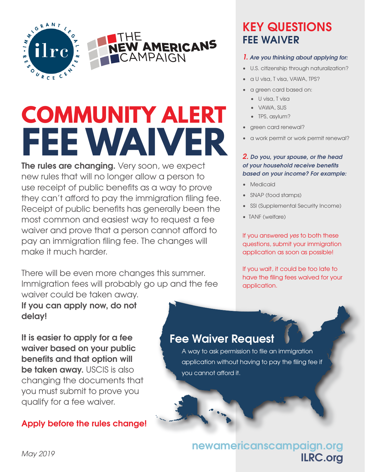

# **COMMUNITY ALERT FEE WAIVER**

**The rules are changing.** Very soon, we expect new rules that will no longer allow a person to use receipt of public benefits as a way to prove they can't afford to pay the immigration filing fee. Receipt of public benefits has generally been the most common and easiest way to request a fee waiver and prove that a person cannot afford to pay an immigration filing fee. The changes will make it much harder.

There will be even more changes this summer. Immigration fees will probably go up and the fee waiver could be taken away.

#### **If you can apply now, do not delay!**

**It is easier to apply for a fee waiver based on your public benefits and that option will be taken away.** USCIS is also changing the documents that you must submit to prove you qualify for a fee waiver.

#### **Apply before the rules change!**

# **KEY QUESTIONS FEE WAIVER**

#### *1. Are you thinking about applying for:*

- U.S. citizenship through naturalization?
- a U visa, T visa, VAWA, TPS?
- a green card based on:
	- U visa, T visa
	- VAWA, SIJS
	- TPS, asylum?
- green card renewal?
- a work permit or work permit renewal?

#### *2. Do you, your spouse, or the head of your household receive benefits based on your income? For example:*

- Medicaid
- SNAP (food stamps)
- SSI (Supplemental Security Income)
- TANF (welfare)

If you answered *yes* to both these questions, submit your immigration application as soon as possible!

If you wait, it could be too late to have the filing fees waived for your application.

#### **Fee Waiver Request**

A way to ask permission to file an immigration application without having to pay the filing fee if you cannot afford it.

## ilrc.org **ILRC.org newamericanscampaign.org**